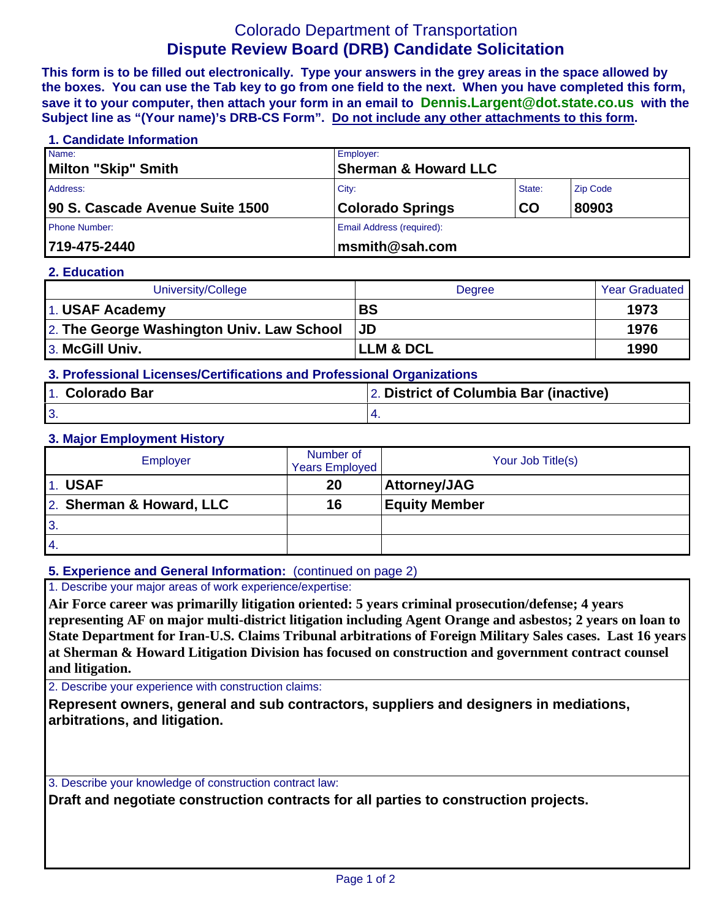# Colorado Department of Transportation **Dispute Review Board (DRB) Candidate Solicitation**

**This form is to be filled out electronically. Type your answers in the grey areas in the space allowed by the boxes. You can use the Tab key to go from one field to the next. When you have completed this form, save it to your computer, then attach your form in an email to Dennis.Largent@dot.state.co.us with the Subject line as "(Your name)'s DRB-CS Form". Do not include any other attachments to this form.**

### **1. Candidate Information**

| Name:                           | Employer:                       |    |                 |  |
|---------------------------------|---------------------------------|----|-----------------|--|
| Milton "Skip" Smith             | <b>Sherman &amp; Howard LLC</b> |    |                 |  |
| Address:                        | City:<br>State:                 |    | <b>Zip Code</b> |  |
| 90 S. Cascade Avenue Suite 1500 | <b>Colorado Springs</b>         | CO | 80903           |  |
| <b>Phone Number:</b>            | Email Address (required):       |    |                 |  |
| 719-475-2440                    | $\ln m$ smith@sah.com           |    |                 |  |

#### **2. Education**

| University/College                        | Degree                | <b>Year Graduated</b> |
|-------------------------------------------|-----------------------|-----------------------|
| 1. USAF Academy                           | <b>BS</b>             | 1973                  |
| 2. The George Washington Univ. Law School | <b>JD</b>             | 1976                  |
| 3. McGill Univ.                           | <b>ILLM &amp; DCL</b> | 1990                  |

# **3. Professional Licenses/Certifications and Professional Organizations**

| 1. Colorado Bar | 2. District of Columbia Bar (inactive) |  |  |
|-----------------|----------------------------------------|--|--|
| 3               |                                        |  |  |

#### **3. Major Employment History**

| <b>Employer</b>          | Number of<br><b>Years Employed</b> | Your Job Title(s)    |
|--------------------------|------------------------------------|----------------------|
| 1. USAF                  | 20                                 | <b>Attorney/JAG</b>  |
| 2. Sherman & Howard, LLC | 16                                 | <b>Equity Member</b> |
| $\overline{3}$ .         |                                    |                      |
| $\overline{4}$ .         |                                    |                      |

### **5. Experience and General Information:** (continued on page 2)

1. Describe your major areas of work experience/expertise:

**Air Force career was primarilly litigation oriented: 5 years criminal prosecution/defense; 4 years representing AF on major multi-district litigation including Agent Orange and asbestos; 2 years on loan to State Department for Iran-U.S. Claims Tribunal arbitrations of Foreign Military Sales cases. Last 16 years at Sherman & Howard Litigation Division has focused on construction and government contract counsel and litigation.** 

2. Describe your experience with construction claims:

**Represent owners, general and sub contractors, suppliers and designers in mediations, arbitrations, and litigation.** 

3. Describe your knowledge of construction contract law:

**Draft and negotiate construction contracts for all parties to construction projects.**